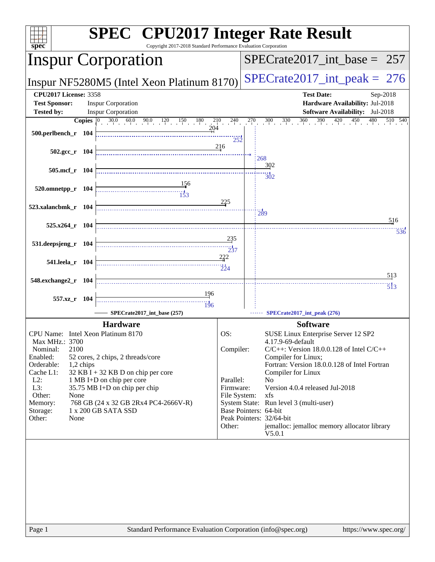| $Spec^*$                                                                                                                                                                                    |           | <b>SPEC<sup>®</sup></b> CPU2017 Integer Rate Result<br>Copyright 2017-2018 Standard Performance Evaluation Corporation                                                                                                    |                                                                      |  |                                                                                                                                                                                                                                                                                                                                                                                                                                   |  |  |  |  |
|---------------------------------------------------------------------------------------------------------------------------------------------------------------------------------------------|-----------|---------------------------------------------------------------------------------------------------------------------------------------------------------------------------------------------------------------------------|----------------------------------------------------------------------|--|-----------------------------------------------------------------------------------------------------------------------------------------------------------------------------------------------------------------------------------------------------------------------------------------------------------------------------------------------------------------------------------------------------------------------------------|--|--|--|--|
| <b>Inspur Corporation</b>                                                                                                                                                                   |           |                                                                                                                                                                                                                           |                                                                      |  | $SPECTate2017\_int\_base = 257$                                                                                                                                                                                                                                                                                                                                                                                                   |  |  |  |  |
|                                                                                                                                                                                             |           | Inspur NF5280M5 (Intel Xeon Platinum 8170)                                                                                                                                                                                |                                                                      |  | $SPECTate2017\_int\_peak = 276$                                                                                                                                                                                                                                                                                                                                                                                                   |  |  |  |  |
| <b>CPU2017 License: 3358</b><br><b>Test Sponsor:</b>                                                                                                                                        |           | <b>Inspur Corporation</b>                                                                                                                                                                                                 |                                                                      |  | <b>Test Date:</b><br>Sep-2018<br>Hardware Availability: Jul-2018                                                                                                                                                                                                                                                                                                                                                                  |  |  |  |  |
| <b>Tested by:</b>                                                                                                                                                                           |           | <b>Inspur Corporation</b>                                                                                                                                                                                                 |                                                                      |  | <b>Software Availability:</b> Jul-2018                                                                                                                                                                                                                                                                                                                                                                                            |  |  |  |  |
| $500.$ perlbench_r 104                                                                                                                                                                      |           | 204                                                                                                                                                                                                                       | 252                                                                  |  | <b>Copies</b> $\begin{bmatrix} 0 & 30.0 & 60.0 & 90.0 & 120 & 150 & 180 & 210 & 240 & 270 & 300 & 330 & 360 & 390 & 420 & 450 & 480 & 510 & 540 \end{bmatrix}$                                                                                                                                                                                                                                                                    |  |  |  |  |
| $502.\text{gcc r}$ 104                                                                                                                                                                      |           |                                                                                                                                                                                                                           | 216                                                                  |  | 268                                                                                                                                                                                                                                                                                                                                                                                                                               |  |  |  |  |
| 505.mcf r 104                                                                                                                                                                               |           |                                                                                                                                                                                                                           |                                                                      |  | 302<br>302                                                                                                                                                                                                                                                                                                                                                                                                                        |  |  |  |  |
| 520.omnetpp_r 104                                                                                                                                                                           |           | $\frac{156}{153}$                                                                                                                                                                                                         | 225                                                                  |  |                                                                                                                                                                                                                                                                                                                                                                                                                                   |  |  |  |  |
| 523.xalancbmk r 104<br>525.x264_r 104                                                                                                                                                       |           |                                                                                                                                                                                                                           |                                                                      |  | $\frac{11}{289}$<br>516                                                                                                                                                                                                                                                                                                                                                                                                           |  |  |  |  |
| 531.deepsjeng_r 104                                                                                                                                                                         |           |                                                                                                                                                                                                                           | 235                                                                  |  | 536                                                                                                                                                                                                                                                                                                                                                                                                                               |  |  |  |  |
| 541.leela_r 104                                                                                                                                                                             |           |                                                                                                                                                                                                                           | 222<br>$\frac{1}{224}$                                               |  |                                                                                                                                                                                                                                                                                                                                                                                                                                   |  |  |  |  |
| 548.exchange2_r 104                                                                                                                                                                         |           |                                                                                                                                                                                                                           |                                                                      |  | 513<br>$\overline{5}$ <sup>13</sup>                                                                                                                                                                                                                                                                                                                                                                                               |  |  |  |  |
| 557.xz_r 104                                                                                                                                                                                |           | 196<br>$\frac{11}{196}$<br>SPECrate2017_int_base (257)                                                                                                                                                                    |                                                                      |  | SPECrate2017_int_peak (276)                                                                                                                                                                                                                                                                                                                                                                                                       |  |  |  |  |
|                                                                                                                                                                                             |           |                                                                                                                                                                                                                           |                                                                      |  |                                                                                                                                                                                                                                                                                                                                                                                                                                   |  |  |  |  |
| CPU Name: Intel Xeon Platinum 8170<br>Max MHz.: 3700<br>Nominal:<br>2100<br>Enabled:<br>Orderable:<br>Cache L1:<br>$L2$ :<br>L3:<br>Other:<br>None<br>Memory:<br>Storage:<br>Other:<br>None | 1,2 chips | <b>Hardware</b><br>52 cores, 2 chips, 2 threads/core<br>$32$ KB I + 32 KB D on chip per core<br>1 MB I+D on chip per core<br>35.75 MB I+D on chip per chip<br>768 GB (24 x 32 GB 2Rx4 PC4-2666V-R)<br>1 x 200 GB SATA SSD | OS:<br>Compiler:<br>Parallel:<br>Firmware:<br>File System:<br>Other: |  | <b>Software</b><br>SUSE Linux Enterprise Server 12 SP2<br>4.17.9-69-default<br>$C/C++$ : Version 18.0.0.128 of Intel $C/C++$<br>Compiler for Linux;<br>Fortran: Version 18.0.0.128 of Intel Fortran<br>Compiler for Linux<br>No<br>Version 4.0.4 released Jul-2018<br>xfs<br>System State: Run level 3 (multi-user)<br>Base Pointers: 64-bit<br>Peak Pointers: 32/64-bit<br>jemalloc: jemalloc memory allocator library<br>V5.0.1 |  |  |  |  |
|                                                                                                                                                                                             |           |                                                                                                                                                                                                                           |                                                                      |  |                                                                                                                                                                                                                                                                                                                                                                                                                                   |  |  |  |  |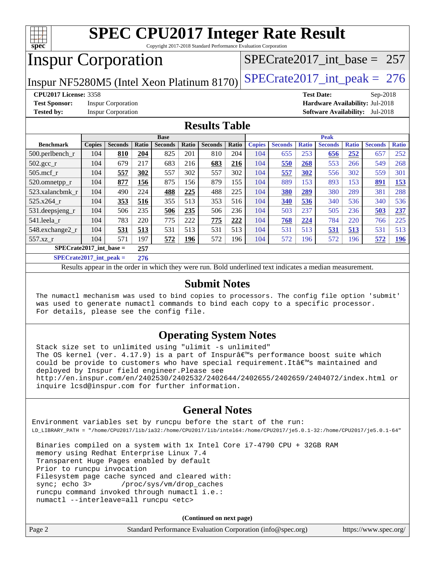

Copyright 2017-2018 Standard Performance Evaluation Corporation

## Inspur Corporation

[SPECrate2017\\_int\\_base =](http://www.spec.org/auto/cpu2017/Docs/result-fields.html#SPECrate2017intbase) 257

Inspur NF5280M5 (Intel Xeon Platinum 8170) SPECrate  $2017$  int peak = 276

**[CPU2017 License:](http://www.spec.org/auto/cpu2017/Docs/result-fields.html#CPU2017License)** 3358 **[Test Date:](http://www.spec.org/auto/cpu2017/Docs/result-fields.html#TestDate)** Sep-2018

**[Test Sponsor:](http://www.spec.org/auto/cpu2017/Docs/result-fields.html#TestSponsor)** Inspur Corporation **[Hardware Availability:](http://www.spec.org/auto/cpu2017/Docs/result-fields.html#HardwareAvailability)** Jul-2018

**[Tested by:](http://www.spec.org/auto/cpu2017/Docs/result-fields.html#Testedby)** Inspur Corporation **[Software Availability:](http://www.spec.org/auto/cpu2017/Docs/result-fields.html#SoftwareAvailability)** Jul-2018

#### **[Results Table](http://www.spec.org/auto/cpu2017/Docs/result-fields.html#ResultsTable)**

|                                  | <b>Base</b>     |                |       |                |       | <b>Peak</b>    |       |               |                |              |                |              |                |              |
|----------------------------------|-----------------|----------------|-------|----------------|-------|----------------|-------|---------------|----------------|--------------|----------------|--------------|----------------|--------------|
| <b>Benchmark</b>                 | <b>Copies</b>   | <b>Seconds</b> | Ratio | <b>Seconds</b> | Ratio | <b>Seconds</b> | Ratio | <b>Copies</b> | <b>Seconds</b> | <b>Ratio</b> | <b>Seconds</b> | <b>Ratio</b> | <b>Seconds</b> | <b>Ratio</b> |
| 500.perlbench_r                  | 104             | 810            | 204   | 825            | 201   | 810            | 204   | 104           | 655            | 253          | 656            | 252          | 657            | 252          |
| $502.\text{gcc\_r}$              | 104             | 679            | 217   | 683            | 216   | 683            | 216   | 104           | 550            | 268          | 553            | 266          | 549            | 268          |
| $505$ .mcf r                     | 104             | 557            | 302   | 557            | 302   | 557            | 302   | 104           | 557            | 302          | 556            | 302          | 559            | 301          |
| 520.omnetpp_r                    | 104             | 877            | 156   | 875            | 156   | 879            | 155   | 104           | 889            | 153          | 893            | 153          | 891            | 153          |
| 523.xalancbmk r                  | 104             | 490            | 224   | 488            | 225   | 488            | 225   | 104           | 380            | 289          | 380            | 289          | 381            | 288          |
| 525.x264 r                       | 104             | 353            | 516   | 355            | 513   | 353            | 516   | 104           | 340            | 536          | 340            | 536          | 340            | 536          |
| 531.deepsjeng_r                  | 104             | 506            | 235   | 506            | 235   | 506            | 236   | 104           | 503            | 237          | 505            | 236          | 503            | 237          |
| 541.leela r                      | 104             | 783            | 220   | 775            | 222   | 775            | 222   | 104           | 768            | 224          | 784            | 220          | 766            | 225          |
| 548.exchange2_r                  | 104             | 531            | 513   | 531            | 513   | 531            | 513   | 104           | 531            | 513          | 531            | 513          | 531            | 513          |
| $557.xz$ _r                      | 104             | 571            | 197   | 572            | 196   | 572            | 196   | 104           | 572            | 196          | 572            | 196          | 572            | <u>196</u>   |
| $SPECrate2017$ int base =<br>257 |                 |                |       |                |       |                |       |               |                |              |                |              |                |              |
| $CDFCsoft2017 int model =$       | 27 <sub>6</sub> |                |       |                |       |                |       |               |                |              |                |              |                |              |

**[SPECrate2017\\_int\\_peak =](http://www.spec.org/auto/cpu2017/Docs/result-fields.html#SPECrate2017intpeak) 276**

Results appear in the [order in which they were run](http://www.spec.org/auto/cpu2017/Docs/result-fields.html#RunOrder). Bold underlined text [indicates a median measurement](http://www.spec.org/auto/cpu2017/Docs/result-fields.html#Median).

#### **[Submit Notes](http://www.spec.org/auto/cpu2017/Docs/result-fields.html#SubmitNotes)**

 The numactl mechanism was used to bind copies to processors. The config file option 'submit' was used to generate numactl commands to bind each copy to a specific processor. For details, please see the config file.

#### **[Operating System Notes](http://www.spec.org/auto/cpu2017/Docs/result-fields.html#OperatingSystemNotes)**

 Stack size set to unlimited using "ulimit -s unlimited" The OS kernel (ver.  $4.17.9$ ) is a part of Inspurâ $\varepsilon$ <sup>m</sup>s performance boost suite which could be provide to customers who have special requirement. It all maintained and deployed by Inspur field engineer. Please see <http://en.inspur.com/en/2402530/2402532/2402644/2402655/2402659/2404072/index.html> or inquire lcsd@inspur.com for further information.

#### **[General Notes](http://www.spec.org/auto/cpu2017/Docs/result-fields.html#GeneralNotes)**

Environment variables set by runcpu before the start of the run: LD\_LIBRARY\_PATH = "/home/CPU2017/lib/ia32:/home/CPU2017/lib/intel64:/home/CPU2017/je5.0.1-32:/home/CPU2017/je5.0.1-64"

 Binaries compiled on a system with 1x Intel Core i7-4790 CPU + 32GB RAM memory using Redhat Enterprise Linux 7.4 Transparent Huge Pages enabled by default Prior to runcpu invocation Filesystem page cache synced and cleared with: sync; echo 3> /proc/sys/vm/drop\_caches runcpu command invoked through numactl i.e.: numactl --interleave=all runcpu <etc>

**(Continued on next page)**

| Page 2 | Standard Performance Evaluation Corporation (info@spec.org) | https://www.spec.org/ |
|--------|-------------------------------------------------------------|-----------------------|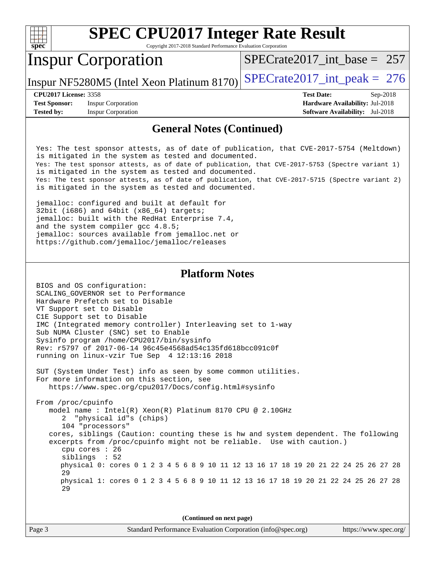

Copyright 2017-2018 Standard Performance Evaluation Corporation

### Inspur Corporation

[SPECrate2017\\_int\\_base =](http://www.spec.org/auto/cpu2017/Docs/result-fields.html#SPECrate2017intbase) 257

Inspur NF5280M5 (Intel Xeon Platinum 8170) SPECrate  $2017$  int peak = 276

**[Test Sponsor:](http://www.spec.org/auto/cpu2017/Docs/result-fields.html#TestSponsor)** Inspur Corporation **[Hardware Availability:](http://www.spec.org/auto/cpu2017/Docs/result-fields.html#HardwareAvailability)** Jul-2018 **[Tested by:](http://www.spec.org/auto/cpu2017/Docs/result-fields.html#Testedby)** Inspur Corporation **[Software Availability:](http://www.spec.org/auto/cpu2017/Docs/result-fields.html#SoftwareAvailability)** Jul-2018

**[CPU2017 License:](http://www.spec.org/auto/cpu2017/Docs/result-fields.html#CPU2017License)** 3358 **[Test Date:](http://www.spec.org/auto/cpu2017/Docs/result-fields.html#TestDate)** Sep-2018

#### **[General Notes \(Continued\)](http://www.spec.org/auto/cpu2017/Docs/result-fields.html#GeneralNotes)**

 Yes: The test sponsor attests, as of date of publication, that CVE-2017-5754 (Meltdown) is mitigated in the system as tested and documented. Yes: The test sponsor attests, as of date of publication, that CVE-2017-5753 (Spectre variant 1) is mitigated in the system as tested and documented. Yes: The test sponsor attests, as of date of publication, that CVE-2017-5715 (Spectre variant 2) is mitigated in the system as tested and documented.

 jemalloc: configured and built at default for 32bit (i686) and 64bit (x86\_64) targets; jemalloc: built with the RedHat Enterprise 7.4, and the system compiler gcc 4.8.5; jemalloc: sources available from jemalloc.net or <https://github.com/jemalloc/jemalloc/releases>

#### **[Platform Notes](http://www.spec.org/auto/cpu2017/Docs/result-fields.html#PlatformNotes)**

 BIOS and OS configuration: SCALING\_GOVERNOR set to Performance Hardware Prefetch set to Disable VT Support set to Disable C1E Support set to Disable IMC (Integrated memory controller) Interleaving set to 1-way Sub NUMA Cluster (SNC) set to Enable Sysinfo program /home/CPU2017/bin/sysinfo Rev: r5797 of 2017-06-14 96c45e4568ad54c135fd618bcc091c0f running on linux-vzir Tue Sep 4 12:13:16 2018

 SUT (System Under Test) info as seen by some common utilities. For more information on this section, see <https://www.spec.org/cpu2017/Docs/config.html#sysinfo>

 From /proc/cpuinfo model name : Intel(R) Xeon(R) Platinum 8170 CPU @ 2.10GHz 2 "physical id"s (chips) 104 "processors" cores, siblings (Caution: counting these is hw and system dependent. The following excerpts from /proc/cpuinfo might not be reliable. Use with caution.) cpu cores : 26 siblings : 52 physical 0: cores 0 1 2 3 4 5 6 8 9 10 11 12 13 16 17 18 19 20 21 22 24 25 26 27 28 29 physical 1: cores 0 1 2 3 4 5 6 8 9 10 11 12 13 16 17 18 19 20 21 22 24 25 26 27 28 29

**(Continued on next page)**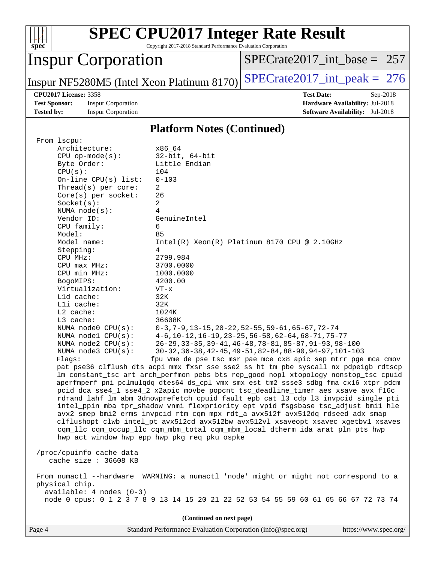

Copyright 2017-2018 Standard Performance Evaluation Corporation

## Inspur Corporation

[SPECrate2017\\_int\\_base =](http://www.spec.org/auto/cpu2017/Docs/result-fields.html#SPECrate2017intbase) 257

Inspur NF5280M5 (Intel Xeon Platinum 8170) SPECrate  $2017$  int peak = 276

**[Test Sponsor:](http://www.spec.org/auto/cpu2017/Docs/result-fields.html#TestSponsor)** Inspur Corporation **[Hardware Availability:](http://www.spec.org/auto/cpu2017/Docs/result-fields.html#HardwareAvailability)** Jul-2018 **[Tested by:](http://www.spec.org/auto/cpu2017/Docs/result-fields.html#Testedby)** Inspur Corporation **[Software Availability:](http://www.spec.org/auto/cpu2017/Docs/result-fields.html#SoftwareAvailability)** Jul-2018

**[CPU2017 License:](http://www.spec.org/auto/cpu2017/Docs/result-fields.html#CPU2017License)** 3358 **[Test Date:](http://www.spec.org/auto/cpu2017/Docs/result-fields.html#TestDate)** Sep-2018

#### **[Platform Notes \(Continued\)](http://www.spec.org/auto/cpu2017/Docs/result-fields.html#PlatformNotes)**

| From 1scpu:<br>Architecture:                 | x86_64                                                                                                                                                              |  |  |  |  |  |
|----------------------------------------------|---------------------------------------------------------------------------------------------------------------------------------------------------------------------|--|--|--|--|--|
| $CPU$ op-mode( $s$ ):                        | $32$ -bit, $64$ -bit                                                                                                                                                |  |  |  |  |  |
| Byte Order:                                  | Little Endian                                                                                                                                                       |  |  |  |  |  |
| CPU(s):                                      | 104                                                                                                                                                                 |  |  |  |  |  |
| On-line $CPU(s)$ list:                       | $0 - 103$                                                                                                                                                           |  |  |  |  |  |
| Thread(s) per core:                          | $\overline{2}$                                                                                                                                                      |  |  |  |  |  |
| Core(s) per socket:                          | 26                                                                                                                                                                  |  |  |  |  |  |
| Socket(s):                                   | 2<br>4                                                                                                                                                              |  |  |  |  |  |
| NUMA $node(s):$<br>Vendor ID:                | GenuineIntel                                                                                                                                                        |  |  |  |  |  |
| CPU family:                                  | 6                                                                                                                                                                   |  |  |  |  |  |
| Model:                                       | 85                                                                                                                                                                  |  |  |  |  |  |
| Model name:                                  | $Intel(R) Xeon(R) Platinum 8170 CPU @ 2.10GHz$                                                                                                                      |  |  |  |  |  |
| Stepping:                                    | 4                                                                                                                                                                   |  |  |  |  |  |
| CPU MHz:                                     | 2799.984                                                                                                                                                            |  |  |  |  |  |
| CPU max MHz:                                 | 3700.0000                                                                                                                                                           |  |  |  |  |  |
| CPU min MHz:                                 | 1000.0000                                                                                                                                                           |  |  |  |  |  |
| BogoMIPS:                                    | 4200.00                                                                                                                                                             |  |  |  |  |  |
| Virtualization:                              | $VT - x$                                                                                                                                                            |  |  |  |  |  |
| Lld cache:                                   | 32K                                                                                                                                                                 |  |  |  |  |  |
| Lli cache:                                   | 32K                                                                                                                                                                 |  |  |  |  |  |
| L2 cache:                                    | 1024K                                                                                                                                                               |  |  |  |  |  |
| L3 cache:<br>NUMA $node0$ $CPU(s)$ :         | 36608K<br>$0-3, 7-9, 13-15, 20-22, 52-55, 59-61, 65-67, 72-74$                                                                                                      |  |  |  |  |  |
| NUMA nodel CPU(s):                           | $4-6$ , 10-12, 16-19, 23-25, 56-58, 62-64, 68-71, 75-77                                                                                                             |  |  |  |  |  |
| NUMA $node2$ $CPU(s):$                       | 26-29, 33-35, 39-41, 46-48, 78-81, 85-87, 91-93, 98-100                                                                                                             |  |  |  |  |  |
| NUMA $node3$ $CPU(s):$                       | 30-32, 36-38, 42-45, 49-51, 82-84, 88-90, 94-97, 101-103                                                                                                            |  |  |  |  |  |
| Flagg:                                       | fpu vme de pse tsc msr pae mce cx8 apic sep mtrr pge mca cmov                                                                                                       |  |  |  |  |  |
|                                              | pat pse36 clflush dts acpi mmx fxsr sse sse2 ss ht tm pbe syscall nx pdpelgb rdtscp                                                                                 |  |  |  |  |  |
|                                              | lm constant_tsc art arch_perfmon pebs bts rep_good nopl xtopology nonstop_tsc cpuid                                                                                 |  |  |  |  |  |
|                                              | aperfmperf pni pclmulqdq dtes64 ds_cpl vmx smx est tm2 ssse3 sdbg fma cx16 xtpr pdcm                                                                                |  |  |  |  |  |
|                                              | pcid dca sse4_1 sse4_2 x2apic movbe popcnt tsc_deadline_timer aes xsave avx f16c                                                                                    |  |  |  |  |  |
|                                              | rdrand lahf_lm abm 3dnowprefetch cpuid_fault epb cat_13 cdp_13 invpcid_single pti                                                                                   |  |  |  |  |  |
|                                              | intel_ppin mba tpr_shadow vnmi flexpriority ept vpid fsgsbase tsc_adjust bmil hle                                                                                   |  |  |  |  |  |
|                                              | avx2 smep bmi2 erms invpcid rtm cqm mpx rdt_a avx512f avx512dq rdseed adx smap                                                                                      |  |  |  |  |  |
|                                              | clflushopt clwb intel_pt avx512cd avx512bw avx512vl xsaveopt xsavec xgetbvl xsaves<br>cqm_llc cqm_occup_llc cqm_mbm_total cqm_mbm_local dtherm ida arat pln pts hwp |  |  |  |  |  |
| hwp_act_window hwp_epp hwp_pkg_req pku ospke |                                                                                                                                                                     |  |  |  |  |  |
|                                              |                                                                                                                                                                     |  |  |  |  |  |
| /proc/cpuinfo cache data                     |                                                                                                                                                                     |  |  |  |  |  |
| cache size : 36608 KB                        |                                                                                                                                                                     |  |  |  |  |  |
|                                              |                                                                                                                                                                     |  |  |  |  |  |
|                                              | From numactl --hardware WARNING: a numactl 'node' might or might not correspond to a                                                                                |  |  |  |  |  |
| physical chip.<br>$available: 4 nodes (0-3)$ |                                                                                                                                                                     |  |  |  |  |  |
|                                              | node 0 cpus: 0 1 2 3 7 8 9 13 14 15 20 21 22 52 53 54 55 59 60 61 65 66 67 72 73 74                                                                                 |  |  |  |  |  |
|                                              |                                                                                                                                                                     |  |  |  |  |  |
| (Continued on next page)                     |                                                                                                                                                                     |  |  |  |  |  |
|                                              |                                                                                                                                                                     |  |  |  |  |  |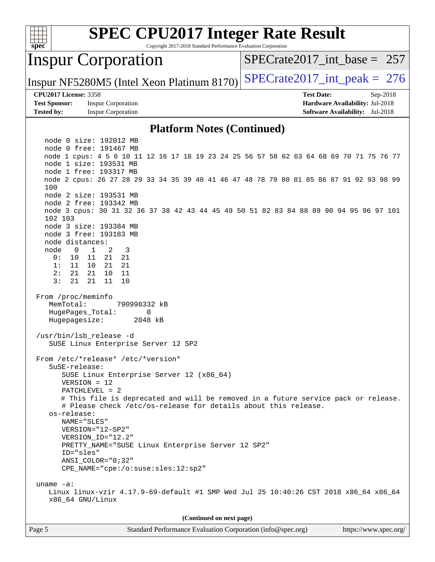

Copyright 2017-2018 Standard Performance Evaluation Corporation

### Inspur Corporation

[SPECrate2017\\_int\\_base =](http://www.spec.org/auto/cpu2017/Docs/result-fields.html#SPECrate2017intbase) 257

Inspur NF5280M5 (Intel Xeon Platinum 8170) SPECrate  $2017$  int peak = 276

#### **[CPU2017 License:](http://www.spec.org/auto/cpu2017/Docs/result-fields.html#CPU2017License)** 3358 **[Test Date:](http://www.spec.org/auto/cpu2017/Docs/result-fields.html#TestDate)** Sep-2018

**[Test Sponsor:](http://www.spec.org/auto/cpu2017/Docs/result-fields.html#TestSponsor)** Inspur Corporation **[Hardware Availability:](http://www.spec.org/auto/cpu2017/Docs/result-fields.html#HardwareAvailability)** Jul-2018 **[Tested by:](http://www.spec.org/auto/cpu2017/Docs/result-fields.html#Testedby)** Inspur Corporation **[Software Availability:](http://www.spec.org/auto/cpu2017/Docs/result-fields.html#SoftwareAvailability)** Jul-2018

#### **[Platform Notes \(Continued\)](http://www.spec.org/auto/cpu2017/Docs/result-fields.html#PlatformNotes)**

 node 0 size: 192012 MB node 0 free: 191467 MB node 1 cpus: 4 5 6 10 11 12 16 17 18 19 23 24 25 56 57 58 62 63 64 68 69 70 71 75 76 77 node 1 size: 193531 MB node 1 free: 193317 MB node 2 cpus: 26 27 28 29 33 34 35 39 40 41 46 47 48 78 79 80 81 85 86 87 91 92 93 98 99 100 node 2 size: 193531 MB node 2 free: 193342 MB node 3 cpus: 30 31 32 36 37 38 42 43 44 45 49 50 51 82 83 84 88 89 90 94 95 96 97 101 102 103 node 3 size: 193384 MB node 3 free: 193183 MB node distances: node 0 1 2 3 0: 10 11 21 21 1: 11 10 21 21 2: 21 21 10 11 3: 21 21 11 10 From /proc/meminfo MemTotal: 790998332 kB HugePages\_Total: 0 Hugepagesize: 2048 kB /usr/bin/lsb\_release -d SUSE Linux Enterprise Server 12 SP2 From /etc/\*release\* /etc/\*version\* SuSE-release: SUSE Linux Enterprise Server 12 (x86\_64) VERSION = 12 PATCHLEVEL = 2 # This file is deprecated and will be removed in a future service pack or release. # Please check /etc/os-release for details about this release. os-release: NAME="SLES" VERSION="12-SP2" VERSION\_ID="12.2" PRETTY\_NAME="SUSE Linux Enterprise Server 12 SP2" ID="sles" ANSI\_COLOR="0;32" CPE\_NAME="cpe:/o:suse:sles:12:sp2" uname -a: Linux linux-vzir 4.17.9-69-default #1 SMP Wed Jul 25 10:40:26 CST 2018 x86\_64 x86\_64 x86\_64 GNU/Linux **(Continued on next page)**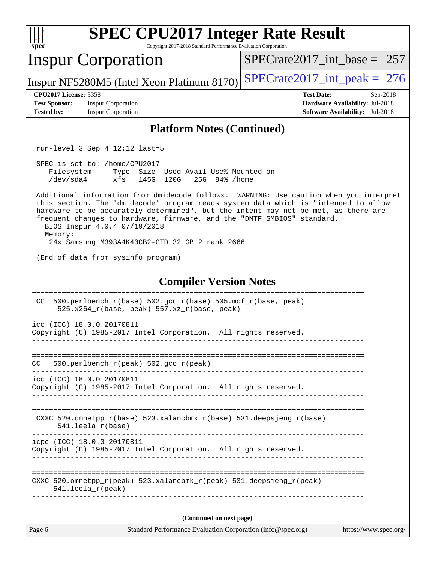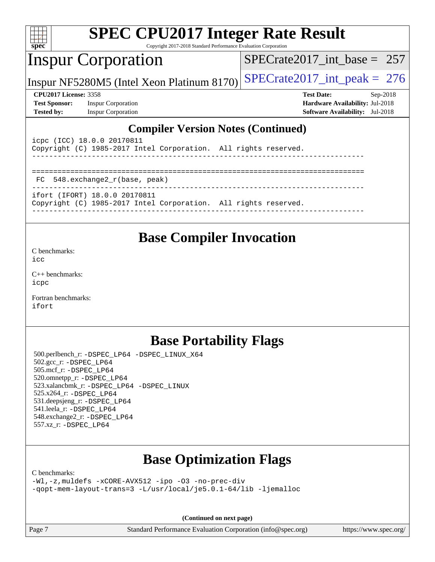| v.<br>e<br>٠, |  |  |  |  |  |  |  |
|---------------|--|--|--|--|--|--|--|

Copyright 2017-2018 Standard Performance Evaluation Corporation

## Inspur Corporation

[SPECrate2017\\_int\\_base =](http://www.spec.org/auto/cpu2017/Docs/result-fields.html#SPECrate2017intbase) 257

Inspur NF5280M5 (Intel Xeon Platinum 8170) SPECrate  $2017$  int peak = 276

**[Test Sponsor:](http://www.spec.org/auto/cpu2017/Docs/result-fields.html#TestSponsor)** Inspur Corporation **[Hardware Availability:](http://www.spec.org/auto/cpu2017/Docs/result-fields.html#HardwareAvailability)** Jul-2018 **[Tested by:](http://www.spec.org/auto/cpu2017/Docs/result-fields.html#Testedby)** Inspur Corporation **[Software Availability:](http://www.spec.org/auto/cpu2017/Docs/result-fields.html#SoftwareAvailability)** Jul-2018

**[CPU2017 License:](http://www.spec.org/auto/cpu2017/Docs/result-fields.html#CPU2017License)** 3358 **[Test Date:](http://www.spec.org/auto/cpu2017/Docs/result-fields.html#TestDate)** Sep-2018

#### **[Compiler Version Notes \(Continued\)](http://www.spec.org/auto/cpu2017/Docs/result-fields.html#CompilerVersionNotes)**

| icpc (ICC) 18.0.0 20170811<br>Copyright (C) 1985-2017 Intel Corporation. All rights reserved.    |  |
|--------------------------------------------------------------------------------------------------|--|
| FC 548.exchange2 r(base, peak)                                                                   |  |
| ifort (IFORT) 18.0.0 20170811<br>Copyright (C) 1985-2017 Intel Corporation. All rights reserved. |  |

#### **[Base Compiler Invocation](http://www.spec.org/auto/cpu2017/Docs/result-fields.html#BaseCompilerInvocation)**

[C benchmarks](http://www.spec.org/auto/cpu2017/Docs/result-fields.html#Cbenchmarks):

[icc](http://www.spec.org/cpu2017/results/res2018q4/cpu2017-20180925-08940.flags.html#user_CCbase_intel_icc_18.0_66fc1ee009f7361af1fbd72ca7dcefbb700085f36577c54f309893dd4ec40d12360134090235512931783d35fd58c0460139e722d5067c5574d8eaf2b3e37e92)

[C++ benchmarks:](http://www.spec.org/auto/cpu2017/Docs/result-fields.html#CXXbenchmarks) [icpc](http://www.spec.org/cpu2017/results/res2018q4/cpu2017-20180925-08940.flags.html#user_CXXbase_intel_icpc_18.0_c510b6838c7f56d33e37e94d029a35b4a7bccf4766a728ee175e80a419847e808290a9b78be685c44ab727ea267ec2f070ec5dc83b407c0218cded6866a35d07)

[Fortran benchmarks](http://www.spec.org/auto/cpu2017/Docs/result-fields.html#Fortranbenchmarks): [ifort](http://www.spec.org/cpu2017/results/res2018q4/cpu2017-20180925-08940.flags.html#user_FCbase_intel_ifort_18.0_8111460550e3ca792625aed983ce982f94888b8b503583aa7ba2b8303487b4d8a21a13e7191a45c5fd58ff318f48f9492884d4413fa793fd88dd292cad7027ca)

### **[Base Portability Flags](http://www.spec.org/auto/cpu2017/Docs/result-fields.html#BasePortabilityFlags)**

 500.perlbench\_r: [-DSPEC\\_LP64](http://www.spec.org/cpu2017/results/res2018q4/cpu2017-20180925-08940.flags.html#b500.perlbench_r_basePORTABILITY_DSPEC_LP64) [-DSPEC\\_LINUX\\_X64](http://www.spec.org/cpu2017/results/res2018q4/cpu2017-20180925-08940.flags.html#b500.perlbench_r_baseCPORTABILITY_DSPEC_LINUX_X64) 502.gcc\_r: [-DSPEC\\_LP64](http://www.spec.org/cpu2017/results/res2018q4/cpu2017-20180925-08940.flags.html#suite_basePORTABILITY502_gcc_r_DSPEC_LP64) 505.mcf\_r: [-DSPEC\\_LP64](http://www.spec.org/cpu2017/results/res2018q4/cpu2017-20180925-08940.flags.html#suite_basePORTABILITY505_mcf_r_DSPEC_LP64) 520.omnetpp\_r: [-DSPEC\\_LP64](http://www.spec.org/cpu2017/results/res2018q4/cpu2017-20180925-08940.flags.html#suite_basePORTABILITY520_omnetpp_r_DSPEC_LP64) 523.xalancbmk\_r: [-DSPEC\\_LP64](http://www.spec.org/cpu2017/results/res2018q4/cpu2017-20180925-08940.flags.html#suite_basePORTABILITY523_xalancbmk_r_DSPEC_LP64) [-DSPEC\\_LINUX](http://www.spec.org/cpu2017/results/res2018q4/cpu2017-20180925-08940.flags.html#b523.xalancbmk_r_baseCXXPORTABILITY_DSPEC_LINUX) 525.x264\_r: [-DSPEC\\_LP64](http://www.spec.org/cpu2017/results/res2018q4/cpu2017-20180925-08940.flags.html#suite_basePORTABILITY525_x264_r_DSPEC_LP64) 531.deepsjeng\_r: [-DSPEC\\_LP64](http://www.spec.org/cpu2017/results/res2018q4/cpu2017-20180925-08940.flags.html#suite_basePORTABILITY531_deepsjeng_r_DSPEC_LP64) 541.leela\_r: [-DSPEC\\_LP64](http://www.spec.org/cpu2017/results/res2018q4/cpu2017-20180925-08940.flags.html#suite_basePORTABILITY541_leela_r_DSPEC_LP64) 548.exchange2\_r: [-DSPEC\\_LP64](http://www.spec.org/cpu2017/results/res2018q4/cpu2017-20180925-08940.flags.html#suite_basePORTABILITY548_exchange2_r_DSPEC_LP64) 557.xz\_r: [-DSPEC\\_LP64](http://www.spec.org/cpu2017/results/res2018q4/cpu2017-20180925-08940.flags.html#suite_basePORTABILITY557_xz_r_DSPEC_LP64)

## **[Base Optimization Flags](http://www.spec.org/auto/cpu2017/Docs/result-fields.html#BaseOptimizationFlags)**

[C benchmarks](http://www.spec.org/auto/cpu2017/Docs/result-fields.html#Cbenchmarks):

[-Wl,-z,muldefs](http://www.spec.org/cpu2017/results/res2018q4/cpu2017-20180925-08940.flags.html#user_CCbase_link_force_multiple1_b4cbdb97b34bdee9ceefcfe54f4c8ea74255f0b02a4b23e853cdb0e18eb4525ac79b5a88067c842dd0ee6996c24547a27a4b99331201badda8798ef8a743f577) [-xCORE-AVX512](http://www.spec.org/cpu2017/results/res2018q4/cpu2017-20180925-08940.flags.html#user_CCbase_f-xCORE-AVX512) [-ipo](http://www.spec.org/cpu2017/results/res2018q4/cpu2017-20180925-08940.flags.html#user_CCbase_f-ipo) [-O3](http://www.spec.org/cpu2017/results/res2018q4/cpu2017-20180925-08940.flags.html#user_CCbase_f-O3) [-no-prec-div](http://www.spec.org/cpu2017/results/res2018q4/cpu2017-20180925-08940.flags.html#user_CCbase_f-no-prec-div) [-qopt-mem-layout-trans=3](http://www.spec.org/cpu2017/results/res2018q4/cpu2017-20180925-08940.flags.html#user_CCbase_f-qopt-mem-layout-trans_de80db37974c74b1f0e20d883f0b675c88c3b01e9d123adea9b28688d64333345fb62bc4a798493513fdb68f60282f9a726aa07f478b2f7113531aecce732043) [-L/usr/local/je5.0.1-64/lib](http://www.spec.org/cpu2017/results/res2018q4/cpu2017-20180925-08940.flags.html#user_CCbase_jemalloc_link_path64_4b10a636b7bce113509b17f3bd0d6226c5fb2346b9178c2d0232c14f04ab830f976640479e5c33dc2bcbbdad86ecfb6634cbbd4418746f06f368b512fced5394) [-ljemalloc](http://www.spec.org/cpu2017/results/res2018q4/cpu2017-20180925-08940.flags.html#user_CCbase_jemalloc_link_lib_d1249b907c500fa1c0672f44f562e3d0f79738ae9e3c4a9c376d49f265a04b9c99b167ecedbf6711b3085be911c67ff61f150a17b3472be731631ba4d0471706)

**(Continued on next page)**

Page 7 Standard Performance Evaluation Corporation [\(info@spec.org\)](mailto:info@spec.org) <https://www.spec.org/>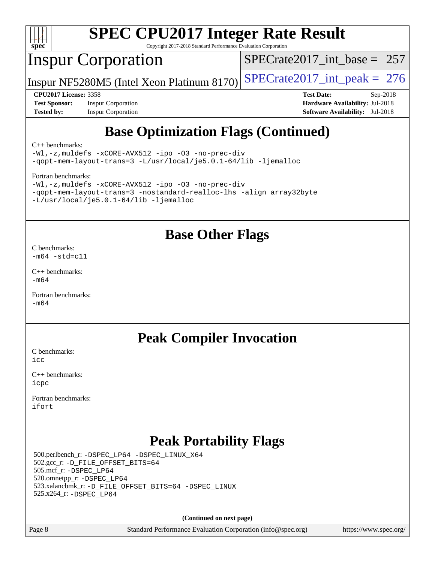

Copyright 2017-2018 Standard Performance Evaluation Corporation

## Inspur Corporation

[SPECrate2017\\_int\\_base =](http://www.spec.org/auto/cpu2017/Docs/result-fields.html#SPECrate2017intbase) 257

Inspur NF5280M5 (Intel Xeon Platinum 8170) SPECrate  $2017$  int peak = 276

**[Test Sponsor:](http://www.spec.org/auto/cpu2017/Docs/result-fields.html#TestSponsor)** Inspur Corporation **[Hardware Availability:](http://www.spec.org/auto/cpu2017/Docs/result-fields.html#HardwareAvailability)** Jul-2018 **[Tested by:](http://www.spec.org/auto/cpu2017/Docs/result-fields.html#Testedby)** Inspur Corporation **[Software Availability:](http://www.spec.org/auto/cpu2017/Docs/result-fields.html#SoftwareAvailability)** Jul-2018

**[CPU2017 License:](http://www.spec.org/auto/cpu2017/Docs/result-fields.html#CPU2017License)** 3358 **[Test Date:](http://www.spec.org/auto/cpu2017/Docs/result-fields.html#TestDate)** Sep-2018

## **[Base Optimization Flags \(Continued\)](http://www.spec.org/auto/cpu2017/Docs/result-fields.html#BaseOptimizationFlags)**

[C++ benchmarks:](http://www.spec.org/auto/cpu2017/Docs/result-fields.html#CXXbenchmarks)

[-Wl,-z,muldefs](http://www.spec.org/cpu2017/results/res2018q4/cpu2017-20180925-08940.flags.html#user_CXXbase_link_force_multiple1_b4cbdb97b34bdee9ceefcfe54f4c8ea74255f0b02a4b23e853cdb0e18eb4525ac79b5a88067c842dd0ee6996c24547a27a4b99331201badda8798ef8a743f577) [-xCORE-AVX512](http://www.spec.org/cpu2017/results/res2018q4/cpu2017-20180925-08940.flags.html#user_CXXbase_f-xCORE-AVX512) [-ipo](http://www.spec.org/cpu2017/results/res2018q4/cpu2017-20180925-08940.flags.html#user_CXXbase_f-ipo) [-O3](http://www.spec.org/cpu2017/results/res2018q4/cpu2017-20180925-08940.flags.html#user_CXXbase_f-O3) [-no-prec-div](http://www.spec.org/cpu2017/results/res2018q4/cpu2017-20180925-08940.flags.html#user_CXXbase_f-no-prec-div) [-qopt-mem-layout-trans=3](http://www.spec.org/cpu2017/results/res2018q4/cpu2017-20180925-08940.flags.html#user_CXXbase_f-qopt-mem-layout-trans_de80db37974c74b1f0e20d883f0b675c88c3b01e9d123adea9b28688d64333345fb62bc4a798493513fdb68f60282f9a726aa07f478b2f7113531aecce732043) [-L/usr/local/je5.0.1-64/lib](http://www.spec.org/cpu2017/results/res2018q4/cpu2017-20180925-08940.flags.html#user_CXXbase_jemalloc_link_path64_4b10a636b7bce113509b17f3bd0d6226c5fb2346b9178c2d0232c14f04ab830f976640479e5c33dc2bcbbdad86ecfb6634cbbd4418746f06f368b512fced5394) [-ljemalloc](http://www.spec.org/cpu2017/results/res2018q4/cpu2017-20180925-08940.flags.html#user_CXXbase_jemalloc_link_lib_d1249b907c500fa1c0672f44f562e3d0f79738ae9e3c4a9c376d49f265a04b9c99b167ecedbf6711b3085be911c67ff61f150a17b3472be731631ba4d0471706)

[Fortran benchmarks](http://www.spec.org/auto/cpu2017/Docs/result-fields.html#Fortranbenchmarks):

| $-Wl$ ,-z, muldefs -xCORE-AVX512 -ipo -03 -no-prec-div              |  |
|---------------------------------------------------------------------|--|
| -gopt-mem-layout-trans=3 -nostandard-realloc-lhs -align array32byte |  |
| $-L/usr/local/ie5.0.1-64/lib -liemalloc$                            |  |

#### **[Base Other Flags](http://www.spec.org/auto/cpu2017/Docs/result-fields.html#BaseOtherFlags)**

[C benchmarks](http://www.spec.org/auto/cpu2017/Docs/result-fields.html#Cbenchmarks):  $-m64 - std= c11$  $-m64 - std= c11$ 

[C++ benchmarks:](http://www.spec.org/auto/cpu2017/Docs/result-fields.html#CXXbenchmarks)  $-m64$ 

[Fortran benchmarks](http://www.spec.org/auto/cpu2017/Docs/result-fields.html#Fortranbenchmarks): [-m64](http://www.spec.org/cpu2017/results/res2018q4/cpu2017-20180925-08940.flags.html#user_FCbase_intel_intel64_18.0_af43caccfc8ded86e7699f2159af6efc7655f51387b94da716254467f3c01020a5059329e2569e4053f409e7c9202a7efc638f7a6d1ffb3f52dea4a3e31d82ab)

### **[Peak Compiler Invocation](http://www.spec.org/auto/cpu2017/Docs/result-fields.html#PeakCompilerInvocation)**

[C benchmarks](http://www.spec.org/auto/cpu2017/Docs/result-fields.html#Cbenchmarks):  $i$ cc

[C++ benchmarks:](http://www.spec.org/auto/cpu2017/Docs/result-fields.html#CXXbenchmarks) [icpc](http://www.spec.org/cpu2017/results/res2018q4/cpu2017-20180925-08940.flags.html#user_CXXpeak_intel_icpc_18.0_c510b6838c7f56d33e37e94d029a35b4a7bccf4766a728ee175e80a419847e808290a9b78be685c44ab727ea267ec2f070ec5dc83b407c0218cded6866a35d07)

[Fortran benchmarks](http://www.spec.org/auto/cpu2017/Docs/result-fields.html#Fortranbenchmarks): [ifort](http://www.spec.org/cpu2017/results/res2018q4/cpu2017-20180925-08940.flags.html#user_FCpeak_intel_ifort_18.0_8111460550e3ca792625aed983ce982f94888b8b503583aa7ba2b8303487b4d8a21a13e7191a45c5fd58ff318f48f9492884d4413fa793fd88dd292cad7027ca)

## **[Peak Portability Flags](http://www.spec.org/auto/cpu2017/Docs/result-fields.html#PeakPortabilityFlags)**

 500.perlbench\_r: [-DSPEC\\_LP64](http://www.spec.org/cpu2017/results/res2018q4/cpu2017-20180925-08940.flags.html#b500.perlbench_r_peakPORTABILITY_DSPEC_LP64) [-DSPEC\\_LINUX\\_X64](http://www.spec.org/cpu2017/results/res2018q4/cpu2017-20180925-08940.flags.html#b500.perlbench_r_peakCPORTABILITY_DSPEC_LINUX_X64) 502.gcc\_r: [-D\\_FILE\\_OFFSET\\_BITS=64](http://www.spec.org/cpu2017/results/res2018q4/cpu2017-20180925-08940.flags.html#user_peakPORTABILITY502_gcc_r_file_offset_bits_64_5ae949a99b284ddf4e95728d47cb0843d81b2eb0e18bdfe74bbf0f61d0b064f4bda2f10ea5eb90e1dcab0e84dbc592acfc5018bc955c18609f94ddb8d550002c) 505.mcf\_r: [-DSPEC\\_LP64](http://www.spec.org/cpu2017/results/res2018q4/cpu2017-20180925-08940.flags.html#suite_peakPORTABILITY505_mcf_r_DSPEC_LP64) 520.omnetpp\_r: [-DSPEC\\_LP64](http://www.spec.org/cpu2017/results/res2018q4/cpu2017-20180925-08940.flags.html#suite_peakPORTABILITY520_omnetpp_r_DSPEC_LP64) 523.xalancbmk\_r: [-D\\_FILE\\_OFFSET\\_BITS=64](http://www.spec.org/cpu2017/results/res2018q4/cpu2017-20180925-08940.flags.html#user_peakPORTABILITY523_xalancbmk_r_file_offset_bits_64_5ae949a99b284ddf4e95728d47cb0843d81b2eb0e18bdfe74bbf0f61d0b064f4bda2f10ea5eb90e1dcab0e84dbc592acfc5018bc955c18609f94ddb8d550002c) [-DSPEC\\_LINUX](http://www.spec.org/cpu2017/results/res2018q4/cpu2017-20180925-08940.flags.html#b523.xalancbmk_r_peakCXXPORTABILITY_DSPEC_LINUX) 525.x264\_r: [-DSPEC\\_LP64](http://www.spec.org/cpu2017/results/res2018q4/cpu2017-20180925-08940.flags.html#suite_peakPORTABILITY525_x264_r_DSPEC_LP64)

**(Continued on next page)**

Page 8 Standard Performance Evaluation Corporation [\(info@spec.org\)](mailto:info@spec.org) <https://www.spec.org/>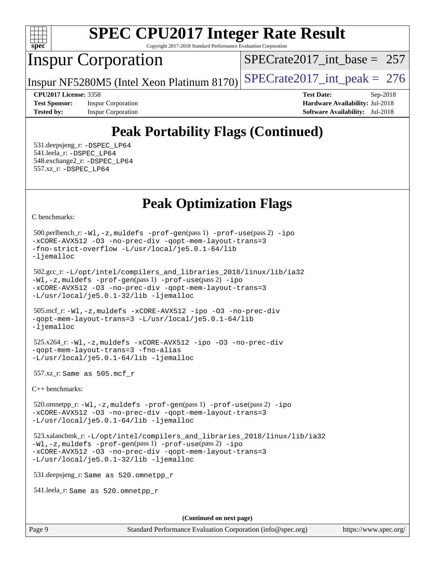

Copyright 2017-2018 Standard Performance Evaluation Corporation

## Inspur Corporation

[SPECrate2017\\_int\\_base =](http://www.spec.org/auto/cpu2017/Docs/result-fields.html#SPECrate2017intbase) 257

Inspur NF5280M5 (Intel Xeon Platinum 8170) SPECrate  $2017$  int peak = 276

**[Tested by:](http://www.spec.org/auto/cpu2017/Docs/result-fields.html#Testedby)** Inspur Corporation **[Software Availability:](http://www.spec.org/auto/cpu2017/Docs/result-fields.html#SoftwareAvailability)** Jul-2018

**[CPU2017 License:](http://www.spec.org/auto/cpu2017/Docs/result-fields.html#CPU2017License)** 3358 **[Test Date:](http://www.spec.org/auto/cpu2017/Docs/result-fields.html#TestDate)** Sep-2018 **[Test Sponsor:](http://www.spec.org/auto/cpu2017/Docs/result-fields.html#TestSponsor)** Inspur Corporation **[Hardware Availability:](http://www.spec.org/auto/cpu2017/Docs/result-fields.html#HardwareAvailability)** Jul-2018

## **[Peak Portability Flags \(Continued\)](http://www.spec.org/auto/cpu2017/Docs/result-fields.html#PeakPortabilityFlags)**

 531.deepsjeng\_r: [-DSPEC\\_LP64](http://www.spec.org/cpu2017/results/res2018q4/cpu2017-20180925-08940.flags.html#suite_peakPORTABILITY531_deepsjeng_r_DSPEC_LP64) 541.leela\_r: [-DSPEC\\_LP64](http://www.spec.org/cpu2017/results/res2018q4/cpu2017-20180925-08940.flags.html#suite_peakPORTABILITY541_leela_r_DSPEC_LP64) 548.exchange2\_r: [-DSPEC\\_LP64](http://www.spec.org/cpu2017/results/res2018q4/cpu2017-20180925-08940.flags.html#suite_peakPORTABILITY548_exchange2_r_DSPEC_LP64) 557.xz\_r: [-DSPEC\\_LP64](http://www.spec.org/cpu2017/results/res2018q4/cpu2017-20180925-08940.flags.html#suite_peakPORTABILITY557_xz_r_DSPEC_LP64)

## **[Peak Optimization Flags](http://www.spec.org/auto/cpu2017/Docs/result-fields.html#PeakOptimizationFlags)**

[C benchmarks](http://www.spec.org/auto/cpu2017/Docs/result-fields.html#Cbenchmarks):

```
 500.perlbench_r: -Wl,-z,muldefs -prof-gen(pass 1) -prof-use(pass 2) -ipo
-xCORE-AVX512 -O3 -no-prec-div -qopt-mem-layout-trans=3
-fno-strict-overflow -L/usr/local/je5.0.1-64/lib
-ljemalloc
```

```
 502.gcc_r: -L/opt/intel/compilers_and_libraries_2018/linux/lib/ia32
-Wl,-z,muldefs -prof-gen(pass 1) -prof-use(pass 2) -ipo
-xCORE-AVX512 -O3 -no-prec-div -qopt-mem-layout-trans=3
-L/usr/local/je5.0.1-32/lib -ljemalloc
```

```
 505.mcf_r: -Wl,-z,muldefs -xCORE-AVX512 -ipo -O3 -no-prec-div
-qopt-mem-layout-trans=3 -L/usr/local/je5.0.1-64/lib
-ljemalloc
```

```
 525.x264_r: -Wl,-z,muldefs -xCORE-AVX512 -ipo -O3 -no-prec-div
-qopt-mem-layout-trans=3 -fno-alias
-L/usr/local/je5.0.1-64/lib -ljemalloc
```
557.xz\_r: Same as 505.mcf\_r

[C++ benchmarks:](http://www.spec.org/auto/cpu2017/Docs/result-fields.html#CXXbenchmarks)

 520.omnetpp\_r: [-Wl,-z,muldefs](http://www.spec.org/cpu2017/results/res2018q4/cpu2017-20180925-08940.flags.html#user_peakEXTRA_LDFLAGS520_omnetpp_r_link_force_multiple1_b4cbdb97b34bdee9ceefcfe54f4c8ea74255f0b02a4b23e853cdb0e18eb4525ac79b5a88067c842dd0ee6996c24547a27a4b99331201badda8798ef8a743f577) [-prof-gen](http://www.spec.org/cpu2017/results/res2018q4/cpu2017-20180925-08940.flags.html#user_peakPASS1_CXXFLAGSPASS1_LDFLAGS520_omnetpp_r_prof_gen_5aa4926d6013ddb2a31985c654b3eb18169fc0c6952a63635c234f711e6e63dd76e94ad52365559451ec499a2cdb89e4dc58ba4c67ef54ca681ffbe1461d6b36)(pass 1) [-prof-use](http://www.spec.org/cpu2017/results/res2018q4/cpu2017-20180925-08940.flags.html#user_peakPASS2_CXXFLAGSPASS2_LDFLAGS520_omnetpp_r_prof_use_1a21ceae95f36a2b53c25747139a6c16ca95bd9def2a207b4f0849963b97e94f5260e30a0c64f4bb623698870e679ca08317ef8150905d41bd88c6f78df73f19)(pass 2) [-ipo](http://www.spec.org/cpu2017/results/res2018q4/cpu2017-20180925-08940.flags.html#user_peakPASS1_CXXOPTIMIZEPASS2_CXXOPTIMIZE520_omnetpp_r_f-ipo) [-xCORE-AVX512](http://www.spec.org/cpu2017/results/res2018q4/cpu2017-20180925-08940.flags.html#user_peakPASS2_CXXOPTIMIZE520_omnetpp_r_f-xCORE-AVX512) [-O3](http://www.spec.org/cpu2017/results/res2018q4/cpu2017-20180925-08940.flags.html#user_peakPASS1_CXXOPTIMIZEPASS2_CXXOPTIMIZE520_omnetpp_r_f-O3) [-no-prec-div](http://www.spec.org/cpu2017/results/res2018q4/cpu2017-20180925-08940.flags.html#user_peakPASS1_CXXOPTIMIZEPASS2_CXXOPTIMIZE520_omnetpp_r_f-no-prec-div) [-qopt-mem-layout-trans=3](http://www.spec.org/cpu2017/results/res2018q4/cpu2017-20180925-08940.flags.html#user_peakPASS1_CXXOPTIMIZEPASS2_CXXOPTIMIZE520_omnetpp_r_f-qopt-mem-layout-trans_de80db37974c74b1f0e20d883f0b675c88c3b01e9d123adea9b28688d64333345fb62bc4a798493513fdb68f60282f9a726aa07f478b2f7113531aecce732043) [-L/usr/local/je5.0.1-64/lib](http://www.spec.org/cpu2017/results/res2018q4/cpu2017-20180925-08940.flags.html#user_peakEXTRA_LIBS520_omnetpp_r_jemalloc_link_path64_4b10a636b7bce113509b17f3bd0d6226c5fb2346b9178c2d0232c14f04ab830f976640479e5c33dc2bcbbdad86ecfb6634cbbd4418746f06f368b512fced5394) [-ljemalloc](http://www.spec.org/cpu2017/results/res2018q4/cpu2017-20180925-08940.flags.html#user_peakEXTRA_LIBS520_omnetpp_r_jemalloc_link_lib_d1249b907c500fa1c0672f44f562e3d0f79738ae9e3c4a9c376d49f265a04b9c99b167ecedbf6711b3085be911c67ff61f150a17b3472be731631ba4d0471706)

```
 523.xalancbmk_r: -L/opt/intel/compilers_and_libraries_2018/linux/lib/ia32
-Wl,-z,muldefs -prof-gen(pass 1) -prof-use(pass 2) -ipo
-xCORE-AVX512 -O3 -no-prec-div -qopt-mem-layout-trans=3
-L/usr/local/je5.0.1-32/lib -ljemalloc
```
531.deepsjeng\_r: Same as 520.omnetpp\_r

541.leela\_r: Same as 520.omnetpp\_r

**(Continued on next page)**